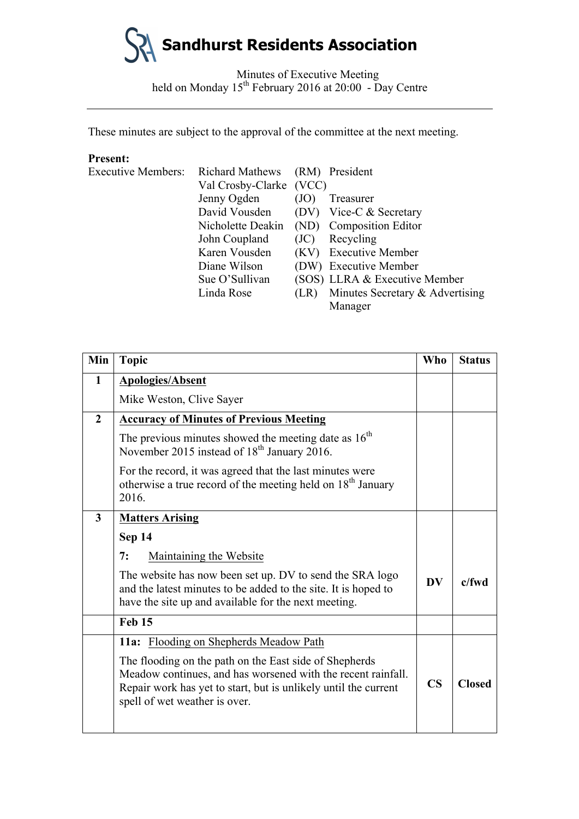Minutes of Executive Meeting held on Monday 15<sup>th</sup> February 2016 at 20:00 - Day Centre

These minutes are subject to the approval of the committee at the next meeting.

# **Present:**

| <b>Executive Members:</b> | <b>Richard Mathews</b>  |      | (RM) President                  |
|---------------------------|-------------------------|------|---------------------------------|
|                           | Val Crosby-Clarke (VCC) |      |                                 |
|                           | Jenny Ogden             | (JO) | Treasurer                       |
|                           | David Vousden           |      | (DV) Vice-C & Secretary         |
|                           | Nicholette Deakin       |      | (ND) Composition Editor         |
|                           | John Coupland           | (JC) | Recycling                       |
|                           | Karen Vousden           | (KV) | <b>Executive Member</b>         |
|                           | Diane Wilson            |      | (DW) Executive Member           |
|                           | Sue O'Sullivan          |      | (SOS) LLRA & Executive Member   |
|                           | Linda Rose              | (LR) | Minutes Secretary & Advertising |
|                           |                         |      | Manager                         |

| Min            | <b>Topic</b>                                                                                                                                                                                                               | <b>Who</b>             | <b>Status</b> |
|----------------|----------------------------------------------------------------------------------------------------------------------------------------------------------------------------------------------------------------------------|------------------------|---------------|
| $\mathbf{1}$   | <b>Apologies/Absent</b>                                                                                                                                                                                                    |                        |               |
|                | Mike Weston, Clive Sayer                                                                                                                                                                                                   |                        |               |
| $\overline{2}$ | <b>Accuracy of Minutes of Previous Meeting</b>                                                                                                                                                                             |                        |               |
|                | The previous minutes showed the meeting date as $16th$<br>November 2015 instead of 18 <sup>th</sup> January 2016.                                                                                                          |                        |               |
|                | For the record, it was agreed that the last minutes were<br>otherwise a true record of the meeting held on 18 <sup>th</sup> January<br>2016.                                                                               |                        |               |
| $\mathbf{3}$   | <b>Matters Arising</b>                                                                                                                                                                                                     |                        |               |
|                | Sep 14                                                                                                                                                                                                                     |                        |               |
|                | Maintaining the Website<br>7:                                                                                                                                                                                              |                        |               |
|                | The website has now been set up. DV to send the SRA logo<br>and the latest minutes to be added to the site. It is hoped to<br>have the site up and available for the next meeting.                                         | <b>DV</b>              | $c$ /fwd      |
|                | Feb 15                                                                                                                                                                                                                     |                        |               |
|                | 11a: Flooding on Shepherds Meadow Path                                                                                                                                                                                     |                        |               |
|                | The flooding on the path on the East side of Shepherds<br>Meadow continues, and has worsened with the recent rainfall.<br>Repair work has yet to start, but is unlikely until the current<br>spell of wet weather is over. | $\overline{\text{CS}}$ | <b>Closed</b> |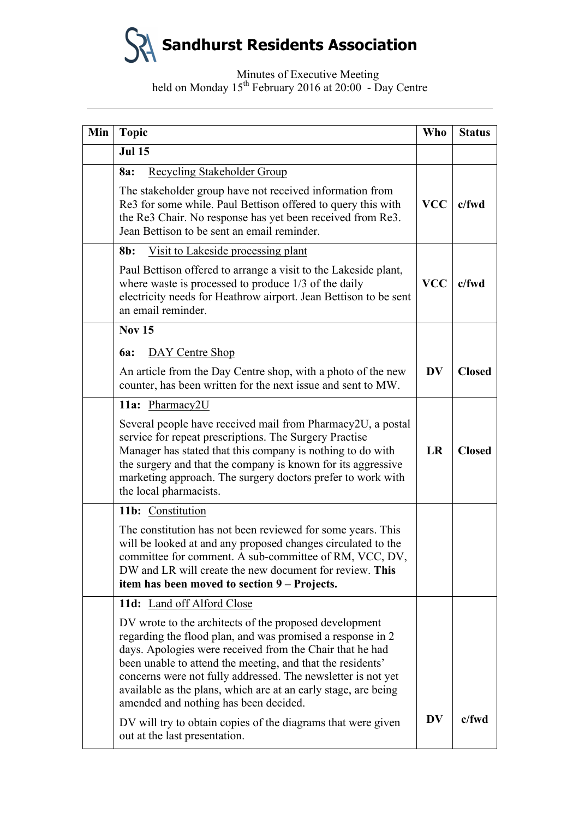## Minutes of Executive Meeting held on Monday 15<sup>th</sup> February 2016 at 20:00 - Day Centre

| Min | <b>Topic</b>                                                                                                                                                                                                                                                                                                                                                                                                              | Who        | <b>Status</b> |
|-----|---------------------------------------------------------------------------------------------------------------------------------------------------------------------------------------------------------------------------------------------------------------------------------------------------------------------------------------------------------------------------------------------------------------------------|------------|---------------|
|     | <b>Jul 15</b>                                                                                                                                                                                                                                                                                                                                                                                                             |            |               |
|     | Recycling Stakeholder Group<br>8a:                                                                                                                                                                                                                                                                                                                                                                                        |            |               |
|     | The stakeholder group have not received information from<br>Re3 for some while. Paul Bettison offered to query this with<br>the Re3 Chair. No response has yet been received from Re3.<br>Jean Bettison to be sent an email reminder.                                                                                                                                                                                     | <b>VCC</b> | $c$ /fwd      |
|     | Visit to Lakeside processing plant<br>8b:                                                                                                                                                                                                                                                                                                                                                                                 |            |               |
|     | Paul Bettison offered to arrange a visit to the Lakeside plant,<br>where waste is processed to produce 1/3 of the daily<br>electricity needs for Heathrow airport. Jean Bettison to be sent<br>an email reminder.                                                                                                                                                                                                         | <b>VCC</b> | c/fwd         |
|     | <b>Nov 15</b>                                                                                                                                                                                                                                                                                                                                                                                                             |            |               |
|     | DAY Centre Shop<br><b>6a:</b>                                                                                                                                                                                                                                                                                                                                                                                             |            |               |
|     | An article from the Day Centre shop, with a photo of the new<br>counter, has been written for the next issue and sent to MW.                                                                                                                                                                                                                                                                                              | <b>DV</b>  | <b>Closed</b> |
|     | 11a: Pharmacy2U                                                                                                                                                                                                                                                                                                                                                                                                           |            |               |
|     | Several people have received mail from Pharmacy2U, a postal<br>service for repeat prescriptions. The Surgery Practise<br>Manager has stated that this company is nothing to do with<br>the surgery and that the company is known for its aggressive<br>marketing approach. The surgery doctors prefer to work with<br>the local pharmacists.                                                                              | LR         | <b>Closed</b> |
|     | 11b: Constitution                                                                                                                                                                                                                                                                                                                                                                                                         |            |               |
|     | The constitution has not been reviewed for some years. This<br>will be looked at and any proposed changes circulated to the<br>committee for comment. A sub-committee of RM, VCC, DV,<br>DW and LR will create the new document for review. This<br>item has been moved to section 9 – Projects.                                                                                                                          |            |               |
|     | 11d: Land off Alford Close                                                                                                                                                                                                                                                                                                                                                                                                |            |               |
|     | DV wrote to the architects of the proposed development<br>regarding the flood plan, and was promised a response in 2<br>days. Apologies were received from the Chair that he had<br>been unable to attend the meeting, and that the residents'<br>concerns were not fully addressed. The newsletter is not yet<br>available as the plans, which are at an early stage, are being<br>amended and nothing has been decided. |            |               |
|     | DV will try to obtain copies of the diagrams that were given<br>out at the last presentation.                                                                                                                                                                                                                                                                                                                             | <b>DV</b>  | c/fwd         |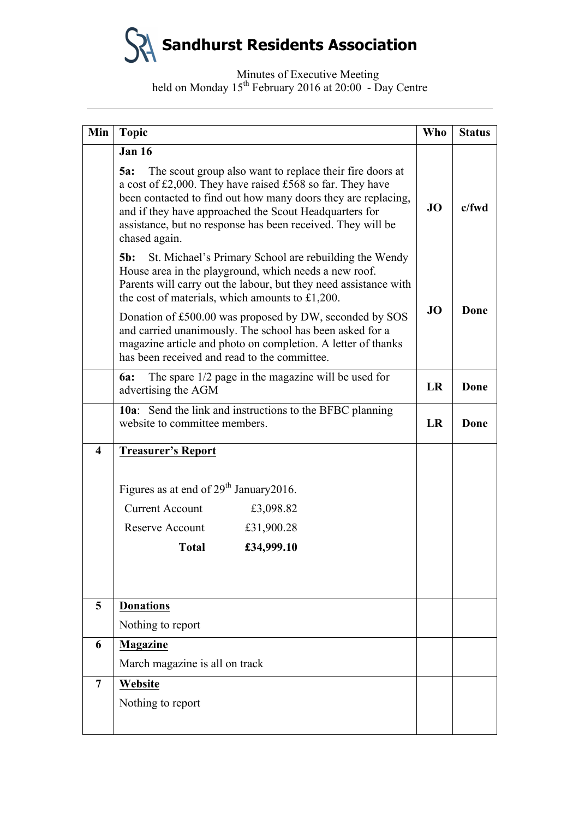Minutes of Executive Meeting held on Monday 15<sup>th</sup> February 2016 at 20:00 - Day Centre

| Min                     | <b>Topic</b>                                                                                                                                                                                                                                                                                                                            | <b>Who</b>        | <b>Status</b> |
|-------------------------|-----------------------------------------------------------------------------------------------------------------------------------------------------------------------------------------------------------------------------------------------------------------------------------------------------------------------------------------|-------------------|---------------|
|                         | <b>Jan 16</b>                                                                                                                                                                                                                                                                                                                           |                   |               |
|                         | The scout group also want to replace their fire doors at<br>5a:<br>a cost of £2,000. They have raised £568 so far. They have<br>been contacted to find out how many doors they are replacing,<br>and if they have approached the Scout Headquarters for<br>assistance, but no response has been received. They will be<br>chased again. | JO                | $c$ /fwd      |
|                         | St. Michael's Primary School are rebuilding the Wendy<br>$5b$ :<br>House area in the playground, which needs a new roof.<br>Parents will carry out the labour, but they need assistance with<br>the cost of materials, which amounts to £1,200.                                                                                         |                   |               |
|                         | Donation of £500.00 was proposed by DW, seconded by SOS<br>and carried unanimously. The school has been asked for a<br>magazine article and photo on completion. A letter of thanks<br>has been received and read to the committee.                                                                                                     | <b>JO</b><br>Done |               |
|                         | The spare $1/2$ page in the magazine will be used for<br><b>6a:</b><br>advertising the AGM                                                                                                                                                                                                                                              | LR                | Done          |
|                         | <b>10a</b> : Send the link and instructions to the BFBC planning<br>website to committee members.                                                                                                                                                                                                                                       | LR                | Done          |
| $\overline{\mathbf{4}}$ | <b>Treasurer's Report</b>                                                                                                                                                                                                                                                                                                               |                   |               |
|                         | Figures as at end of 29 <sup>th</sup> January 2016.                                                                                                                                                                                                                                                                                     |                   |               |
|                         | <b>Current Account</b><br>£3,098.82                                                                                                                                                                                                                                                                                                     |                   |               |
|                         | Reserve Account<br>£31,900.28                                                                                                                                                                                                                                                                                                           |                   |               |
|                         | <b>Total</b><br>£34,999.10                                                                                                                                                                                                                                                                                                              |                   |               |
|                         |                                                                                                                                                                                                                                                                                                                                         |                   |               |
| 5                       | <b>Donations</b>                                                                                                                                                                                                                                                                                                                        |                   |               |
|                         | Nothing to report                                                                                                                                                                                                                                                                                                                       |                   |               |
| 6                       | <b>Magazine</b>                                                                                                                                                                                                                                                                                                                         |                   |               |
|                         | March magazine is all on track                                                                                                                                                                                                                                                                                                          |                   |               |
| $\overline{7}$          | Website                                                                                                                                                                                                                                                                                                                                 |                   |               |
|                         | Nothing to report                                                                                                                                                                                                                                                                                                                       |                   |               |
|                         |                                                                                                                                                                                                                                                                                                                                         |                   |               |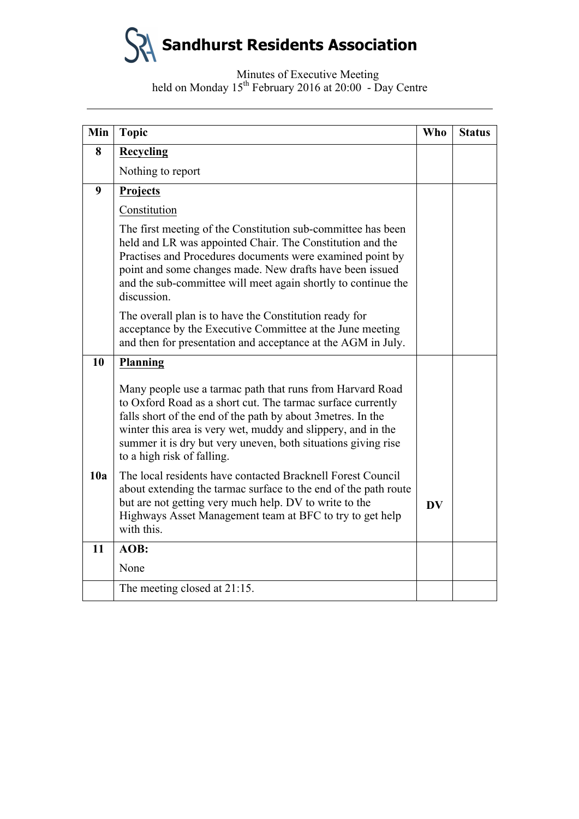Minutes of Executive Meeting held on Monday 15<sup>th</sup> February 2016 at 20:00 - Day Centre

| Min | <b>Topic</b>                                                                                                                                                                                                                                                                                                                                            | <b>Who</b> | <b>Status</b> |
|-----|---------------------------------------------------------------------------------------------------------------------------------------------------------------------------------------------------------------------------------------------------------------------------------------------------------------------------------------------------------|------------|---------------|
| 8   | <b>Recycling</b>                                                                                                                                                                                                                                                                                                                                        |            |               |
|     | Nothing to report                                                                                                                                                                                                                                                                                                                                       |            |               |
| 9   | Projects                                                                                                                                                                                                                                                                                                                                                |            |               |
|     | Constitution                                                                                                                                                                                                                                                                                                                                            |            |               |
|     | The first meeting of the Constitution sub-committee has been<br>held and LR was appointed Chair. The Constitution and the<br>Practises and Procedures documents were examined point by<br>point and some changes made. New drafts have been issued<br>and the sub-committee will meet again shortly to continue the<br>discussion.                      |            |               |
|     | The overall plan is to have the Constitution ready for<br>acceptance by the Executive Committee at the June meeting<br>and then for presentation and acceptance at the AGM in July.                                                                                                                                                                     |            |               |
| 10  | <b>Planning</b>                                                                                                                                                                                                                                                                                                                                         |            |               |
|     | Many people use a tarmac path that runs from Harvard Road<br>to Oxford Road as a short cut. The tarmac surface currently<br>falls short of the end of the path by about 3 metres. In the<br>winter this area is very wet, muddy and slippery, and in the<br>summer it is dry but very uneven, both situations giving rise<br>to a high risk of falling. |            |               |
| 10a | The local residents have contacted Bracknell Forest Council<br>about extending the tarmac surface to the end of the path route<br>but are not getting very much help. DV to write to the<br>Highways Asset Management team at BFC to try to get help<br>with this.                                                                                      | <b>DV</b>  |               |
| 11  | AOB:                                                                                                                                                                                                                                                                                                                                                    |            |               |
|     | None                                                                                                                                                                                                                                                                                                                                                    |            |               |
|     | The meeting closed at 21:15.                                                                                                                                                                                                                                                                                                                            |            |               |